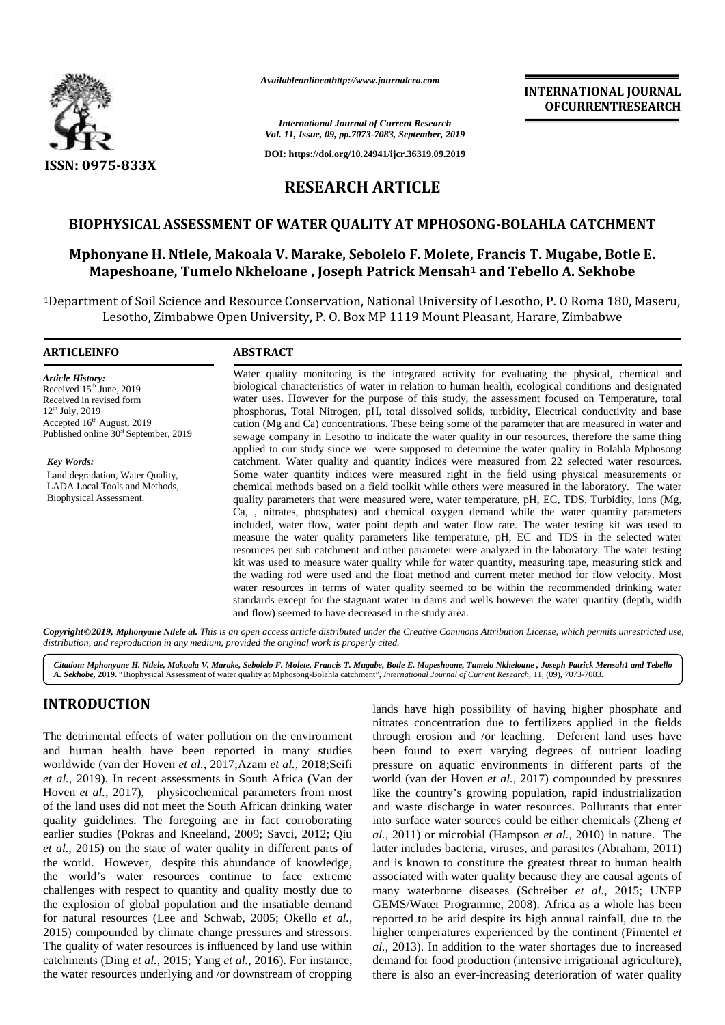

*Availableonlineathttp://www.journalcra.com*

**INTERNATIONAL JOURNAL INTERNATIONALOFCURRENTRESEARCHOFCURRENTRESEARCH**

*International Journal of Current Research Vol. 11, Issue, 09, pp.7073-7083, September, 2019*

**DOI: https://doi.org/10.24941/ijcr.36319.09.2019**

# **RESEARCH ARTICLE RESEARCH**

# **BIOPHYSICAL ASSESSMENT OF WATER QUALITY AT MPHOSONG-BOLAHLA CATCHMENT**

# BIOPHYSICAL ASSESSMENT OF WATER QUALITY AT MPHOSONG-BOLAHLA CATCHMENT<br>Mphonyane H. Ntlele, Makoala V. Marake, Sebolelo F. Molete, Francis T. Mugabe, Botle E. **Mapeshoane, Tumelo Nkheloane , Joseph Patrick Mensah<sup>1</sup> and Tebello A. Sekhobe Tumelo , 1Tebello A.**

<sup>1</sup>Department of Soil Science and Resource Conservation, National University of Lesotho, P. O Roma 180, Maseru, ent of Soil Science and Resource Conservation, National University of Lesotho, P. O Roma 180, Maser<br>Lesotho, Zimbabwe Open University, P. O. Box MP 1119 Mount Pleasant, Harare, Zimbabwe

#### **ARTICLEINFO ABSTRACT**

*Article History:* Received  $15<sup>th</sup>$  June, 2019 Received in revised form 12<sup>th</sup> July, 2019 Received in revised form<br>12<sup>th</sup> July, 2019<br>Accepted 16<sup>th</sup> August, 2019 Published online 30<sup>st</sup> September, 2019

*Key Words:* Land degradation, Water Quality, LADA Local Tools and Methods, Biophysical Assessment.

Water quality monitoring is the integrated activity for evaluating the physical, chemical and biological characteristics of water in relation to human health, ecological conditions and designated water uses. However for the purpose of this study, the assessment focused on Temperature, total phosphorus, Total Nitrogen, pH, total dissolved solids, turbidity, Electrical conductivity and base cation (Mg and Ca) concentrations. These being some of the parameter that are measured in water and sewage company in Lesotho to indicate the water quality in our resources, therefore the same thing applied to our study since we were supposed to determine the water quality in Bolahla Mphosong catchment. Water quality and quantity indices were measured from 22 selected water resources. Some water quantity indices were measured right in the field using physical measurements or chemical methods based on a field toolkit while others were measured in the laboratory. The water quality parameters that were measured were, water temperature, pH, EC, TDS, Turbidity, ions (Mg, Ca, , nitrates, phosphates) and chemical oxygen demand while the water quantity parameters included, water flow, water point depth and water flow rate. The water testing kit was used to measure the water quality parameters like temperature, pH, EC and TDS in the selected water resources per sub catchment and other parameter were analyzed in the laboratory. The water testing kit was used to measure water quality while for water quantity, measuring tape, measuring stick and the wading rod were used and the float method and current meter method for flow velocity. Most water resources in terms of water quality seemed to be within the recommended drinking water standards except for the stagnant water in dams and wells however the water quantity (depth, width and flow) seemed to have decreased in the study area. Water quality monitoring is the integrated activity for evaluating the physical, chemical biological characteristies of water in relation to human health, ecological conditions and design. Water uses. However for the purpo **BIOPHYSICAL ASSESSMENT OF WATER QUALITY AT MPHOSONG-BOLAHILA CATCHMENT**<br> **Mphonyane H. Niele, Makoala V. Marake, Sebolelo F. Molete, Francis <b>T. Mugabe, Bothe**<br> **Magnehoon** (*Selection*). **F. O. Box MP 1119 Mount Pleasan EXERCISE SECTION AND DESCRIMENT OF WATER QUALITY AT MPHOSONG-<br>
SECTION RESERVENCION CONTREVENCION RESERVENCION RESERVENCION RESERVENCION RESERVENCION RESERVENCION RESERVENCION RESERVENCION RESERVENCION RESERVENCION RESER** 

Copyright©2019, Mphonyane Ntlele al. This is an open access article distributed under the Creative Commons Attribution License, which permits unrestricted use, *distribution, and reproduction in any medium, provided the original work is properly cited. distribution,any*

Citation: Mphonyane H. Ntlele, Makoala V. Marake, Sebolelo F. Molete, Francis T. Mugabe, Botle E. Mapeshoane, Tumelo Nkheloane , Joseph Patrick Mensah1 and Tebello<br>A. Sekhobe, 2019. "Biophysical Assessment of water quality

# **INTRODUCTION INTRODUCTION**

The detrimental effects of water pollution on the environment t and human health have been reported in many studies and human health have been reported in many studies tworldwide (van der Hoven *et al.*, 2017;Azam *et al.*, 2018;Seifi *et al.,* 2019). In recent assessments in South Africa (Van der *et al.*, 2019). In recent assessments in South Africa (Van der v<br>Hoven *et al.*, 2017), physicochemical parameters from most 1 of the land uses did not meet the South African drinking water are quality guidelines. The foregoing are in fact corroborating into earlier studies (Pokras and Kneeland, 2009; Savci, 2012; Qiu al., 2 earlier studies (Pokras and Kneeland, 2009; Savci, 2012; Qiu *et al.,* 2015) on the state of water quality in different parts of *et al.*, 2015) on the state of water quality in different parts of the world. However, despite this abundance of knowledge, the world's water resources continue to face extreme asso challenges with respect to quantity and quality mostly due to the explosion of global population and the insatiable demand for natural resources (Lee and Schwab, 2005; Okello *et al.,* 2015) compounded by climate change pressures and stressors. The quality of water resources is influenced by land use within  $al$ , 2 catchments (Ding *et al.*, 2015; *Yang et al.*, 2016). For instance, the water resources underlying and /or downstream of cropping challenges with respect to quantity and quality mostly due to<br>the explosion of global population and the insatiable demand<br>for natural resources (Lee and Schwab, 2005; Okello *et al.*,

lands have high possibility of having higher phosphate and nitrates concentration due to fertilizers applied in the fields through erosion and /or leaching. Deferent land uses have been found to exert varying degrees of nutrient loading pressure on aquatic environments in different parts of the world (van der Hoven *et al.,* 2017) compounded by pressures like the country's growing population, rapid industrialization and waste discharge in water resources. Pollutants that enter into surface water sources could be either chemicals (Zheng *et al.,* 2011) or microbial (Hampson *et al.,* 2010) in nature. The latter includes bacteria, viruses, and parasites (Abraham, 2011) and is known to constitute the greatest threat to human health associated with water quality because they are causal agents of many waterborne diseases (Schreiber *et al.,* 2015; UNEP GEMS/Water Programme, 2008). Africa as a whole has been reported to be arid despite its high annual rainfall, due to the higher temperatures experienced by the continent (Pimentel *et al.,* 2013). In addition to the water shortages due to increased demand for food production (intensive irrigational agriculture), there is also an ever-increasing deterioration of water quality IN TRODUCTION<br>
lands have high possibility of having higher phosphate and<br>
The detrimental effects of water pollution on the environment through crossion and /or leaching. Deferent land uses have<br>
and human health have be GEMS/Water Programme, 2008). Africa as a whole has been reported to be arid despite its high annual rainfall, due to the higher temperatures experienced by the continent (Pimentel *et al.*, 2013). In addition to the water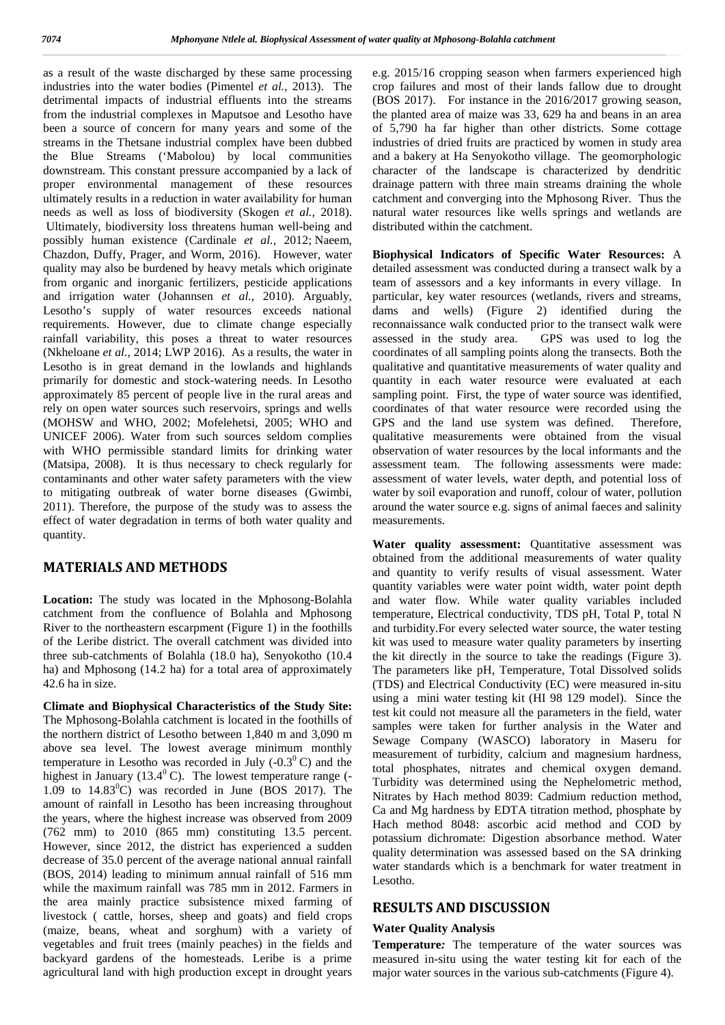as a result of the waste discharged by these same processing industries into the water bodies (Pimentel *et al.,* 2013). The detrimental impacts of industrial effluents into the streams from the industrial complexes in Maputsoe and Lesotho have been a source of concern for many years and some of the streams in the Thetsane industrial complex have been dubbed the Blue Streams ('Mabolou) by local communities downstream. This constant pressure accompanied by a lack of proper environmental management of these resources ultimately results in a reduction in water availability for human needs as well as loss of biodiversity (Skogen *et al.,* 2018). Ultimately, biodiversity loss threatens human well-being and possibly human existence (Cardinale *et al.,* 2012; Naeem, Chazdon, Duffy, Prager, and Worm, 2016). However, water quality may also be burdened by heavy metals which originate from organic and inorganic fertilizers, pesticide applications and irrigation water (Johannsen *et al.,* 2010). Arguably, Lesotho's supply of water resources exceeds national requirements. However, due to climate change especially rainfall variability, this poses a threat to water resources (Nkheloane *et al.,* 2014; LWP 2016). As a results, the water in Lesotho is in great demand in the lowlands and highlands primarily for domestic and stock-watering needs. In Lesotho approximately 85 percent of people live in the rural areas and rely on open water sources such reservoirs, springs and wells (MOHSW and WHO, 2002; Mofelehetsi, 2005; WHO and UNICEF 2006). Water from such sources seldom complies with WHO permissible standard limits for drinking water (Matsipa, 2008). It is thus necessary to check regularly for contaminants and other water safety parameters with the view to mitigating outbreak of water borne diseases (Gwimbi, 2011). Therefore, the purpose of the study was to assess the effect of water degradation in terms of both water quality and quantity.

## **MATERIALS AND METHODS**

**Location:** The study was located in the Mphosong-Bolahla catchment from the confluence of Bolahla and Mphosong River to the northeastern escarpment (Figure 1) in the foothills of the Leribe district. The overall catchment was divided into three sub-catchments of Bolahla (18.0 ha), Senyokotho (10.4 ha) and Mphosong (14.2 ha) for a total area of approximately 42.6 ha in size.

**Climate and Biophysical Characteristics of the Study Site:** The Mphosong-Bolahla catchment is located in the foothills of the northern district of Lesotho between 1,840 m and 3,090 m above sea level. The lowest average minimum monthly temperature in Lesotho was recorded in July  $(-0.3^{\circ} \text{C})$  and the highest in January (13.4 $\degree$ C). The lowest temperature range (-1.09 to  $14.83^{\circ}$ C) was recorded in June (BOS 2017). The amount of rainfall in Lesotho has been increasing throughout the years, where the highest increase was observed from 2009 (762 mm) to 2010 (865 mm) constituting 13.5 percent. However, since 2012, the district has experienced a sudden decrease of 35.0 percent of the average national annual rainfall (BOS, 2014) leading to minimum annual rainfall of 516 mm while the maximum rainfall was 785 mm in 2012. Farmers in the area mainly practice subsistence mixed farming of livestock ( cattle, horses, sheep and goats) and field crops (maize, beans, wheat and sorghum) with a variety of vegetables and fruit trees (mainly peaches) in the fields and backyard gardens of the homesteads. Leribe is a prime agricultural land with high production except in drought years

e.g. 2015/16 cropping season when farmers experienced high crop failures and most of their lands fallow due to drought (BOS 2017). For instance in the 2016/2017 growing season, the planted area of maize was 33, 629 ha and beans in an area of 5,790 ha far higher than other districts. Some cottage industries of dried fruits are practiced by women in study area and a bakery at Ha Senyokotho village. The geomorphologic character of the landscape is characterized by dendritic drainage pattern with three main streams draining the whole catchment and converging into the Mphosong River. Thus the natural water resources like wells springs and wetlands are distributed within the catchment.

**Biophysical Indicators of Specific Water Resources:** A detailed assessment was conducted during a transect walk by a team of assessors and a key informants in every village. In particular, key water resources (wetlands, rivers and streams, dams and wells) (Figure 2) identified during the reconnaissance walk conducted prior to the transect walk were assessed in the study area. GPS was used to log the coordinates of all sampling points along the transects. Both the qualitative and quantitative measurements of water quality and quantity in each water resource were evaluated at each sampling point. First, the type of water source was identified, coordinates of that water resource were recorded using the GPS and the land use system was defined. Therefore, qualitative measurements were obtained from the visual observation of water resources by the local informants and the assessment team. The following assessments were made: assessment of water levels, water depth, and potential loss of water by soil evaporation and runoff, colour of water, pollution around the water source e.g. signs of animal faeces and salinity measurements.

Water quality assessment: Quantitative assessment was obtained from the additional measurements of water quality and quantity to verify results of visual assessment. Water quantity variables were water point width, water point depth and water flow. While water quality variables included temperature, Electrical conductivity, TDS pH, Total P, total N and turbidity.For every selected water source, the water testing kit was used to measure water quality parameters by inserting the kit directly in the source to take the readings (Figure 3). The parameters like pH, Temperature, Total Dissolved solids (TDS) and Electrical Conductivity (EC) were measured in-situ using a mini water testing kit (HI 98 129 model). Since the test kit could not measure all the parameters in the field, water samples were taken for further analysis in the Water and Sewage Company (WASCO) laboratory in Maseru for measurement of turbidity, calcium and magnesium hardness, total phosphates, nitrates and chemical oxygen demand. Turbidity was determined using the Nephelometric method, Nitrates by Hach method 8039: Cadmium reduction method, Ca and Mg hardness by EDTA titration method, phosphate by Hach method 8048: ascorbic acid method and COD by potassium dichromate: Digestion absorbance method. Water quality determination was assessed based on the SA drinking water standards which is a benchmark for water treatment in Lesotho.

### **RESULTS AND DISCUSSION**

#### **Water Quality Analysis**

**Temperature***:* The temperature of the water sources was measured in-situ using the water testing kit for each of the major water sources in the various sub-catchments (Figure 4).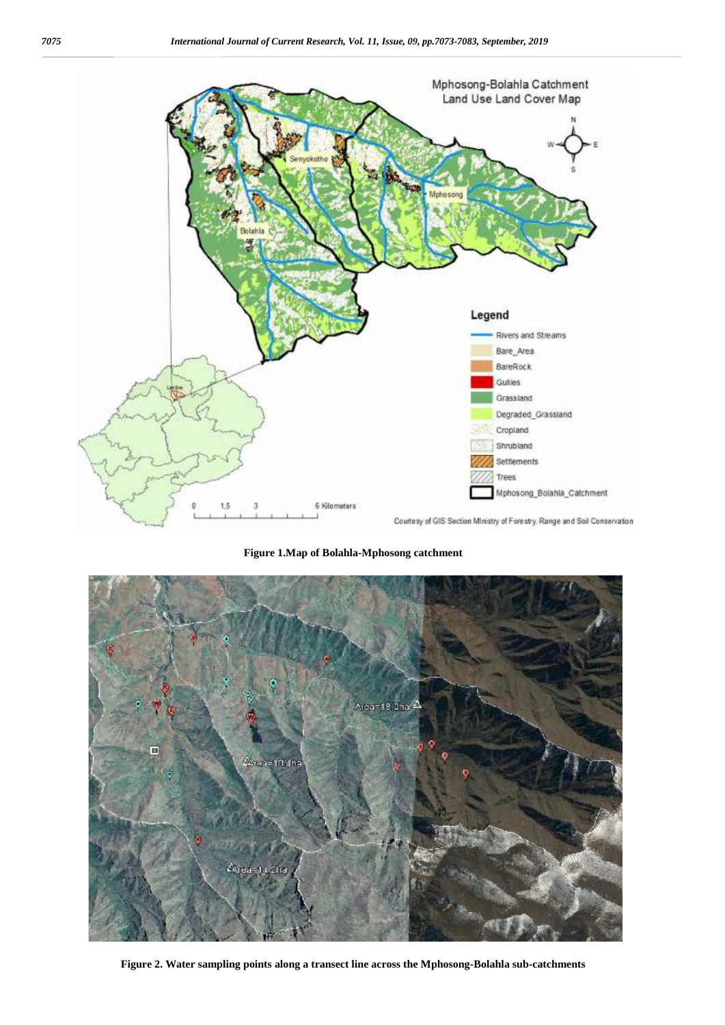

**Figure 1.Map of Bolahla-Mphosong catchment**



**Figure 2. Water sampling points along a transect line across the Mphosong-Bolahla sub-catchments**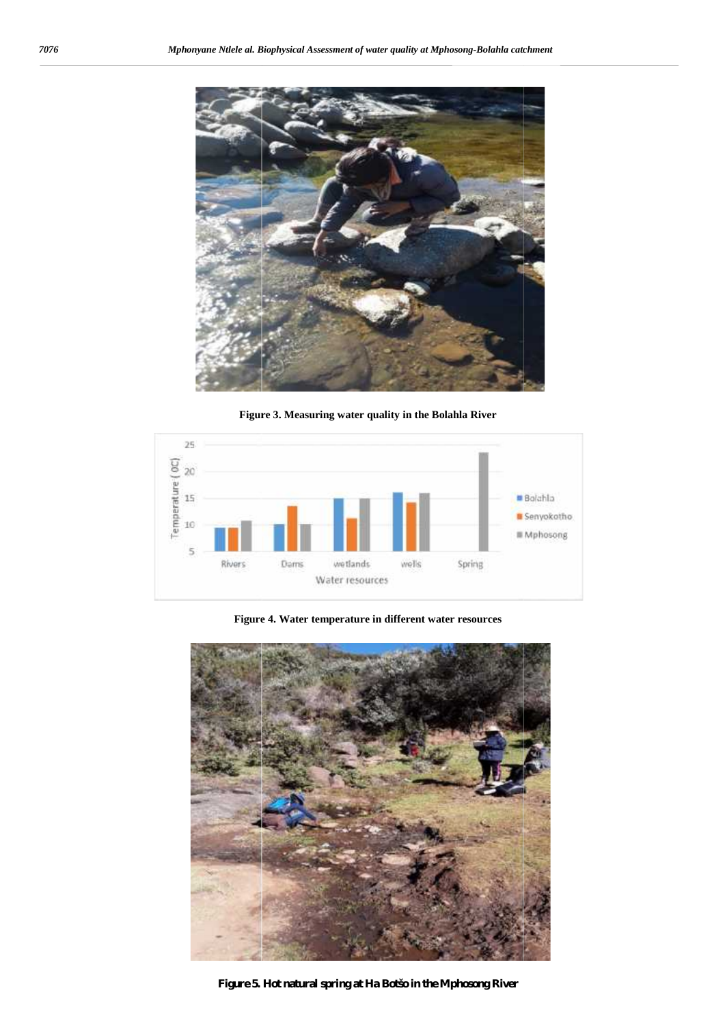

**Figure 3. Measuring water quality in the Bolahla River the** 



**Figure 4. Water temperature in different water resources**



**Figure 5. Hot natural spring at Ha Botšo in the Mphosong River**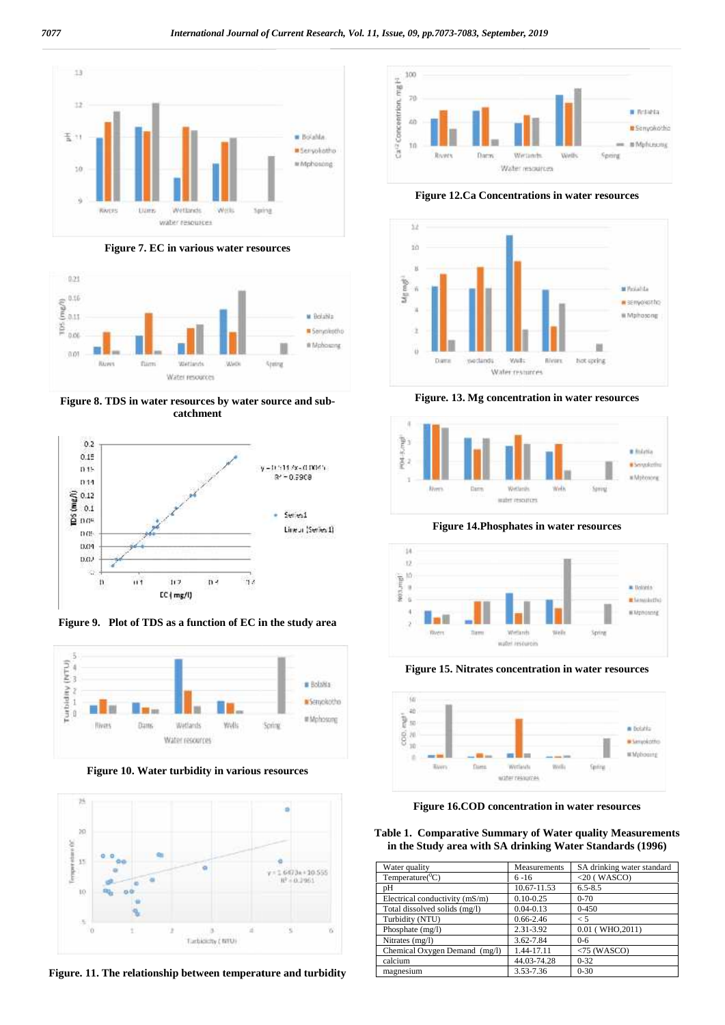

**Figure 7. EC in various water resources**



**Figure 8. TDS in water resources by water source and sub catchment**



**Figure 9. Plot of TDS as a function of EC in the study area**



**Figure 10. Water turbidity in various resources**



**Figure. 11. The relationship between temperature and turbidity**



**Figure 12.Ca Concentrations in water resources**



**Figure. 13. Mg concentration in water resources**



**Figure 14.Phosphates in water resources**



**Figure 15. Nitrates concentration in water resources**



**Figure 16.COD concentration in water resources**

**Table 1. Comparative Summary of Water quality Measurements in the Study area with SA drinking Water Standards (1996)**

| Water quality                  | Measurements  | SA drinking water standard |
|--------------------------------|---------------|----------------------------|
| Temperature( ${}^0C$ )         | $6 - 16$      | $<$ 20 (WASCO)             |
| pH                             | 10.67-11.53   | $6.5 - 8.5$                |
| Electrical conductivity (mS/m) | $0.10 - 0.25$ | $0 - 70$                   |
| Total dissolved solids (mg/l)  | $0.04 - 0.13$ | $0 - 450$                  |
| Turbidity (NTU)                | $0.66 - 2.46$ | $\leq 5$                   |
| Phosphate (mg/l)               | 2.31-3.92     | $0.01$ (WHO, $2011$ )      |
| Nitrates (mg/l)                | 3.62-7.84     | $0 - 6$                    |
| Chemical Oxygen Demand (mg/l)  | 1.44-17.11    | $<$ 75 (WASCO)             |
| calcium                        | 44.03-74.28   | $0 - 32$                   |
| magnesium                      | 3.53-7.36     | $0 - 30$                   |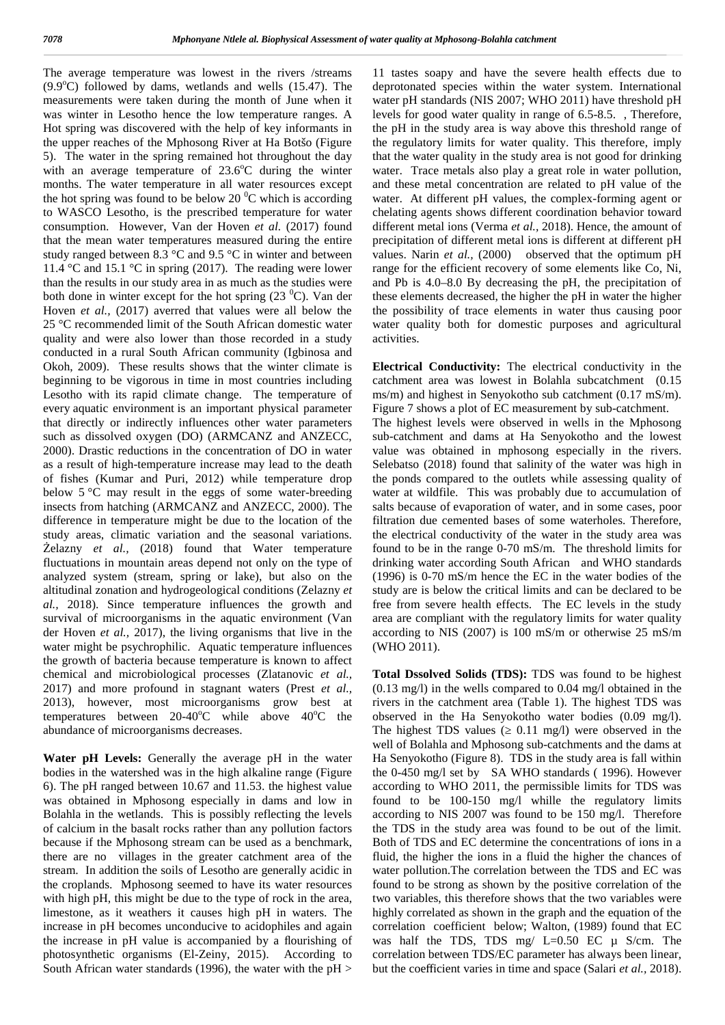The average temperature was lowest in the rivers /streams  $(9.9^{\circ}C)$  followed by dams, wetlands and wells  $(15.47)$ . The measurements were taken during the month of June when it was winter in Lesotho hence the low temperature ranges. A Hot spring was discovered with the help of key informants in the upper reaches of the Mphosong River at Ha Botšo (Figure 5). The water in the spring remained hot throughout the day with an average temperature of  $23.6^{\circ}$ C during the winter months. The water temperature in all water resources except the hot spring was found to be below 20  $\rm{^0C}$  which is according to WASCO Lesotho, is the prescribed temperature for water consumption. However, Van der Hoven *et al.* (2017) found that the mean water temperatures measured during the entire study ranged between 8.3 °C and 9.5 °C in winter and between 11.4 °C and 15.1 °C in spring (2017). The reading were lower than the results in our study area in as much as the studies were both done in winter except for the hot spring  $(23<sup>0</sup>C)$ . Van der Hoven *et al.,* (2017) averred that values were all below the 25 °C recommended limit of the South African domestic water quality and were also lower than those recorded in a study conducted in a rural South African community (Igbinosa and Okoh, 2009). These results shows that the winter climate is beginning to be vigorous in time in most countries including Lesotho with its rapid climate change. The temperature of every aquatic environment is an important physical parameter that directly or indirectly influences other water parameters such as dissolved oxygen (DO) (ARMCANZ and ANZECC, 2000). Drastic reductions in the concentration of DO in water as a result of high-temperature increase may lead to the death of fishes (Kumar and Puri, 2012) while temperature drop below 5 °C may result in the eggs of some water-breeding insects from hatching (ARMCANZ and ANZECC, 2000). The difference in temperature might be due to the location of the study areas, climatic variation and the seasonal variations. elazny *et al.*, (2018) found that Water temperature fluctuations in mountain areas depend not only on the type of analyzed system (stream, spring or lake), but also on the altitudinal zonation and hydrogeological conditions (Zelazny *et al.,* 2018). Since temperature influences the growth and survival of microorganisms in the aquatic environment (Van der Hoven *et al.,* 2017), the living organisms that live in the water might be psychrophilic. Aquatic temperature influences the growth of bacteria because temperature is known to affect chemical and microbiological processes (Zlatanovic *et al.,* 2017) and more profound in stagnant waters (Prest *et al.,* 2013), however, most microorganisms grow best at temperatures between  $20-40^{\circ}\text{C}$  while above  $40^{\circ}\text{C}$  the abundance of microorganisms decreases.

**Water pH Levels:** Generally the average pH in the water bodies in the watershed was in the high alkaline range (Figure 6). The pH ranged between 10.67 and 11.53. the highest value was obtained in Mphosong especially in dams and low in Bolahla in the wetlands. This is possibly reflecting the levels of calcium in the basalt rocks rather than any pollution factors because if the Mphosong stream can be used as a benchmark, there are no villages in the greater catchment area of the stream. In addition the soils of Lesotho are generally acidic in the croplands. Mphosong seemed to have its water resources with high pH, this might be due to the type of rock in the area, limestone, as it weathers it causes high pH in waters. The increase in pH becomes unconducive to acidophiles and again the increase in pH value is accompanied by a flourishing of photosynthetic organisms (El-Zeiny, 2015). According to South African water standards (1996), the water with the pH >

11 tastes soapy and have the severe health effects due to deprotonated species within the water system. International water pH standards (NIS 2007; WHO 2011) have threshold pH levels for good water quality in range of 6.5-8.5. , Therefore, the pH in the study area is way above this threshold range of the regulatory limits for water quality. This therefore, imply that the water quality in the study area is not good for drinking water. Trace metals also play a great role in water pollution. and these metal concentration are related to pH value of the water. At different pH values, the complex-forming agent or chelating agents shows different coordination behavior toward different metal ions (Verma *et al.,* 2018). Hence, the amount of precipitation of different metal ions is different at different pH values. Narin *et al.,* (2000) observed that the optimum pH range for the efficient recovery of some elements like Co, Ni, and Pb is 4.0–8.0 By decreasing the pH, the precipitation of these elements decreased, the higher the pH in water the higher the possibility of trace elements in water thus causing poor water quality both for domestic purposes and agricultural activities.

**Electrical Conductivity:** The electrical conductivity in the catchment area was lowest in Bolahla subcatchment (0.15 ms/m) and highest in Senyokotho sub catchment (0.17 mS/m). Figure 7 shows a plot of EC measurement by sub-catchment.

The highest levels were observed in wells in the Mphosong sub-catchment and dams at Ha Senyokotho and the lowest value was obtained in mphosong especially in the rivers. Selebatso (2018) found that salinity of the water was high in the ponds compared to the outlets while assessing quality of water at wildfile. This was probably due to accumulation of salts because of evaporation of water, and in some cases, poor filtration due cemented bases of some waterholes. Therefore, the electrical conductivity of the water in the study area was found to be in the range 0-70 mS/m. The threshold limits for drinking water according South African and WHO standards (1996) is 0-70 mS/m hence the EC in the water bodies of the study are is below the critical limits and can be declared to be free from severe health effects. The EC levels in the study area are compliant with the regulatory limits for water quality according to NIS (2007) is 100 mS/m or otherwise 25 mS/m (WHO 2011).

**Total Dssolved Solids (TDS):** TDS was found to be highest (0.13 mg/l) in the wells compared to 0.04 mg/l obtained in the rivers in the catchment area (Table 1). The highest TDS was observed in the Ha Senyokotho water bodies (0.09 mg/l). The highest TDS values  $(0.11 \text{ mg/l})$  were observed in the well of Bolahla and Mphosong sub-catchments and the dams at Ha Senyokotho (Figure 8). TDS in the study area is fall within the 0-450 mg/l set by SA WHO standards ( 1996). However according to WHO 2011, the permissible limits for TDS was found to be 100-150 mg/l whille the regulatory limits according to NIS 2007 was found to be 150 mg/l. Therefore the TDS in the study area was found to be out of the limit. Both of TDS and EC determine the concentrations of ions in a fluid, the higher the ions in a fluid the higher the chances of water pollution.The correlation between the TDS and EC was found to be strong as shown by the positive correlation of the two variables, this therefore shows that the two variables were highly correlated as shown in the graph and the equation of the correlation coefficient below; Walton, (1989) found that EC was half the TDS, TDS mg/  $L=0.50$  EC  $\mu$  S/cm. The correlation between TDS/EC parameter has always been linear, but the coefficient varies in time and space (Salari *et al.,* 2018).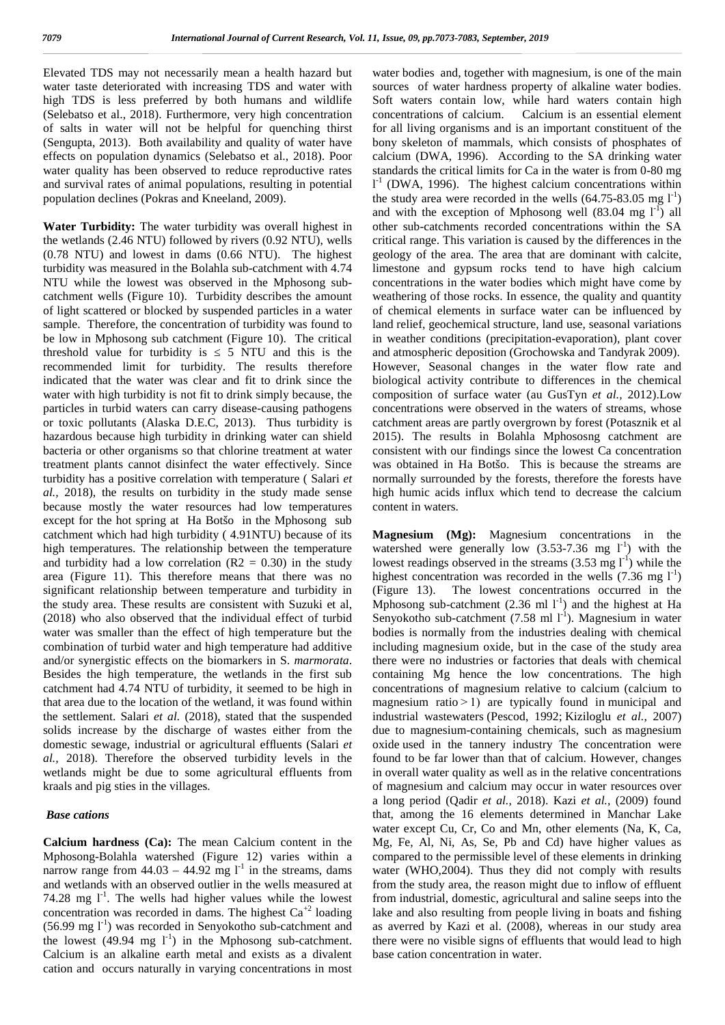Elevated TDS may not necessarily mean a health hazard but water taste deteriorated with increasing TDS and water with high TDS is less preferred by both humans and wildlife (Selebatso et al., 2018). Furthermore, very high concentration concentrations of calcium. of salts in water will not be helpful for quenching thirst (Sengupta, 2013). Both availability and quality of water have effects on population dynamics (Selebatso et al., 2018). Poor water quality has been observed to reduce reproductive rates and survival rates of animal populations, resulting in potential population declines (Pokras and Kneeland, 2009).

**Water Turbidity:** The water turbidity was overall highest in the wetlands (2.46 NTU) followed by rivers (0.92 NTU), wells (0.78 NTU) and lowest in dams (0.66 NTU). The highest turbidity was measured in the Bolahla sub-catchment with 4.74 NTU while the lowest was observed in the Mphosong sub catchment wells (Figure 10). Turbidity describes the amount of light scattered or blocked by suspended particles in a water sample. Therefore, the concentration of turbidity was found to be low in Mphosong sub catchment (Figure 10). The critical threshold value for turbidity is 5 NTU and this is the recommended limit for turbidity. The results therefore indicated that the water was clear and fit to drink since the water with high turbidity is not fit to drink simply because, the particles in turbid waters can carry disease-causing pathogens or toxic pollutants (Alaska D.E.C, 2013). Thus turbidity is hazardous because high turbidity in drinking water can shield bacteria or other organisms so that chlorine treatment at water treatment plants cannot disinfect the water effectively. Since turbidity has a positive correlation with temperature ( Salari *et al.,* 2018), the results on turbidity in the study made sense because mostly the water resources had low temperatures except for the hot spring at Ha Botšo in the Mphosong sub catchment which had high turbidity ( 4.91NTU) because of its high temperatures. The relationship between the temperature and turbidity had a low correlation ( $R2 = 0.30$ ) in the study area (Figure 11). This therefore means that there was no significant relationship between temperature and turbidity in the study area. These results are consistent with Suzuki et al, (2018) who also observed that the individual effect of turbid water was smaller than the effect of high temperature but the combination of turbid water and high temperature had additive and/or synergistic effects on the biomarkers in S. *marmorata*. Besides the high temperature, the wetlands in the first sub catchment had 4.74 NTU of turbidity, it seemed to be high in that area due to the location of the wetland, it was found within the settlement. Salari *et al.* (2018), stated that the suspended solids increase by the discharge of wastes either from the domestic sewage, industrial or agricultural effluents (Salari *et al.,* 2018). Therefore the observed turbidity levels in the wetlands might be due to some agricultural effluents from kraals and pig sties in the villages.

#### *Base cations*

**Calcium hardness (Ca):** The mean Calcium content in the Mphosong-Bolahla watershed (Figure 12) varies within a narrow range from  $44.03 - 44.92$  mg  $l^{-1}$  in the streams, dams wa and wetlands with an observed outlier in the wells measured at 74.28 mg  $I^{-1}$ . The wells had higher values while the lowest f concentration was recorded in dams. The highest  $Ca^{2}$  loading  $(56.99 \text{ mg } l^{\text{-}1})$  was recorded in Senvokotho sub-catchment and the lowest  $(49.94 \text{ mg } l^{\text{-}1})$  in the Mphosong sub-catchment. Calcium is an alkaline earth metal and exists as a divalent cation and occurs naturally in varying concentrations in most

water bodies and, together with magnesium, is one of the main sources of water hardness property of alkaline water bodies. Soft waters contain low, while hard waters contain high Calcium is an essential element for all living organisms and is an important constituent of the bony skeleton of mammals, which consists of phosphates of calcium (DWA, 1996). According to the SA drinking water standards the critical limits for Ca in the water is from 0-80 mg  $l<sup>-1</sup>$  (DWA, 1996). The highest calcium concentrations within the study area were recorded in the wells  $(64.75-83.05 \text{ mg } 1^{-1})$ and with the exception of Mphosong well  $(83.04 \text{ mg } l^{-1})$  all other sub-catchments recorded concentrations within the SA critical range. This variation is caused by the differences in the geology of the area. The area that are dominant with calcite, limestone and gypsum rocks tend to have high calcium concentrations in the water bodies which might have come by weathering of those rocks. In essence, the quality and quantity of chemical elements in surface water can be influenced by land relief, geochemical structure, land use, seasonal variations in weather conditions (precipitation-evaporation), plant cover and atmospheric deposition (Grochowska and Tandyrak 2009). However, Seasonal changes in the water flow rate and biological activity contribute to differences in the chemical composition of surface water (au GusTyn *et al.,* 2012).Low concentrations were observed in the waters of streams, whose catchment areas are partly overgrown by forest (Potasznik et al 2015). The results in Bolahla Mphososng catchment are consistent with our findings since the lowest Ca concentration was obtained in Ha Botšo. This is because the streams are normally surrounded by the forests, therefore the forests have high humic acids influx which tend to decrease the calcium content in waters.

**Magnesium (Mg):** Magnesium concentrations in the watershed were generally low  $(3.53-7.36 \text{ mg } l^{\text{-}1})$  with the lowest readings observed in the streams  $(3.53 \text{ mg l}^{-1})$  while the highest concentration was recorded in the wells  $(7.36 \text{ mg } l^{-1})$ (Figure 13). The lowest concentrations occurred in the Mphosong sub-catchment (2.36 ml  $l^{-1}$ ) and the highest at Ha Senyokotho sub-catchment  $(7.58 \text{ ml } 1^{-1})$ . Magnesium in water bodies is normally from the industries dealing with chemical including magnesium oxide, but in the case of the study area there were no industries or factories that deals with chemical containing Mg hence the low concentrations. The high concentrations of magnesium relative to calcium (calcium to magnesium ratio $>1$ ) are typically found in municipal and industrial wastewaters (Pescod, 1992; Kiziloglu *et al.,* 2007) due to magnesium-containing chemicals, such as magnesium oxide used in the tannery industry The concentration were found to be far lower than that of calcium. However, changes in overall water quality as well as in the relative concentrations of magnesium and calcium may occur in water resources over a long period (Qadir *et al.,* 2018). Kazi *et al.,* (2009) found that, among the 16 elements determined in Manchar Lake water except Cu, Cr, Co and Mn, other elements (Na, K, Ca, Mg, Fe, Al, Ni, As, Se, Pb and Cd) have higher values as compared to the permissible level of these elements in drinking water (WHO,2004). Thus they did not comply with results from the study area, the reason might due to inflow of effluent from industrial, domestic, agricultural and saline seeps into the lake and also resulting from people living in boats and fishing as averred by Kazi et al. (2008), whereas in our study area there were no visible signs of effluents that would lead to high base cation concentration in water.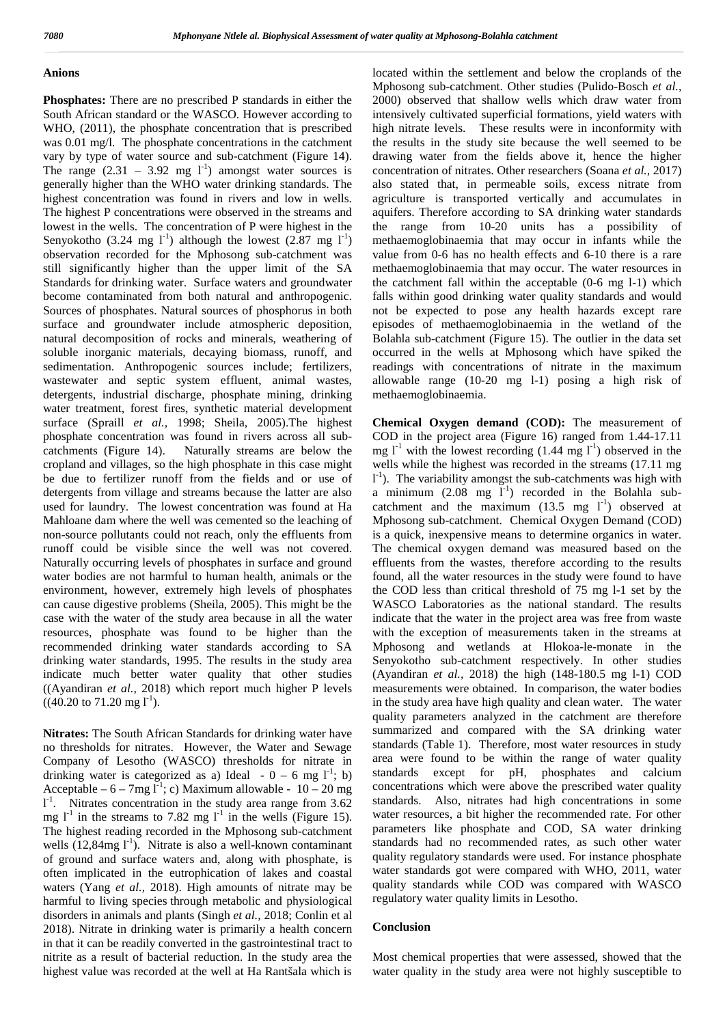#### **Anions**

**Phosphates:** There are no prescribed P standards in either the South African standard or the WASCO. However according to WHO, (2011), the phosphate concentration that is prescribed was 0.01 mg/l. The phosphate concentrations in the catchment vary by type of water source and sub-catchment (Figure 14). The range  $(2.31 - 3.92 \text{ mg } l^{\text{-}1})$  amongst water sources is generally higher than the WHO water drinking standards. The highest concentration was found in rivers and low in wells. The highest P concentrations were observed in the streams and lowest in the wells. The concentration of P were highest in the Senyokotho (3.24 mg  $1^{-1}$ ) although the lowest (2.87 mg  $1^{-1}$ ) observation recorded for the Mphosong sub-catchment was still significantly higher than the upper limit of the SA Standards for drinking water. Surface waters and groundwater become contaminated from both natural and anthropogenic. Sources of phosphates. Natural sources of phosphorus in both surface and groundwater include atmospheric deposition, natural decomposition of rocks and minerals, weathering of soluble inorganic materials, decaying biomass, runoff, and sedimentation. Anthropogenic sources include; fertilizers, wastewater and septic system effluent, animal wastes, detergents, industrial discharge, phosphate mining, drinking water treatment, forest fires, synthetic material development surface (Spraill *et al.,* 1998; Sheila, 2005).The highest phosphate concentration was found in rivers across all sub catchments (Figure 14). Naturally streams are below the cropland and villages, so the high phosphate in this case might be due to fertilizer runoff from the fields and or use of detergents from village and streams because the latter are also used for laundry. The lowest concentration was found at Ha Mahloane dam where the well was cemented so the leaching of non-source pollutants could not reach, only the effluents from runoff could be visible since the well was not covered. Naturally occurring levels of phosphates in surface and ground water bodies are not harmful to human health, animals or the environment, however, extremely high levels of phosphates can cause digestive problems (Sheila, 2005). This might be the case with the water of the study area because in all the water resources, phosphate was found to be higher than the recommended drinking water standards according to SA drinking water standards, 1995. The results in the study area indicate much better water quality that other studies ((Ayandiran *et al.,* 2018) which report much higher P levels  $((40.20 \text{ to } 71.20 \text{ mg } l^{\text{-}1}).$ 

**Nitrates:** The South African Standards for drinking water have no thresholds for nitrates. However, the Water and Sewage Company of Lesotho (WASCO) thresholds for nitrate in area were<br>drinking water is categorized as a) Ideal  $= 0 - 6$  mg  $I^{-1}$ ; b) standards drinking water is categorized as a) Ideal  $-0 - 6$  mg  $1^{\text{-}1}$ ; b) st Acceptable –  $6 - 7$ mg l<sup>-1</sup>; c) Maximum allowable -  $10 - 20$  mg conc 1<sup>-1</sup>. Nitrates concentration in the study area range from 3.62 stand mg  $l^{-1}$  in the streams to 7.82 mg  $l^{-1}$  in the wells (Figure 15). The highest reading recorded in the Mphosong sub-catchment wells  $(12,84mg 1<sup>-1</sup>)$ . Nitrate is also a well-known contaminant of ground and surface waters and, along with phosphate, is often implicated in the eutrophication of lakes and coastal waters (Yang *et al.,* 2018). High amounts of nitrate may be harmful to living species through metabolic and physiological disorders in animals and plants (Singh *et al.,* 2018; Conlin et al 2018). Nitrate in drinking water is primarily a health concern in that it can be readily converted in the gastrointestinal tract to nitrite as a result of bacterial reduction. In the study area the highest value was recorded at the well at Ha Rantšala which is

located within the settlement and below the croplands of the Mphosong sub-catchment. Other studies (Pulido-Bosch *et al.,* 2000) observed that shallow wells which draw water from intensively cultivated superficial formations, yield waters with high nitrate levels. These results were in inconformity with the results in the study site because the well seemed to be drawing water from the fields above it, hence the higher concentration of nitrates. Other researchers (Soana *et al.,* 2017) also stated that, in permeable soils, excess nitrate from agriculture is transported vertically and accumulates in aquifers. Therefore according to SA drinking water standards the range from 10-20 units has a possibility of methaemoglobinaemia that may occur in infants while the value from 0-6 has no health effects and 6-10 there is a rare methaemoglobinaemia that may occur. The water resources in the catchment fall within the acceptable (0-6 mg l-1) which falls within good drinking water quality standards and would not be expected to pose any health hazards except rare episodes of methaemoglobinaemia in the wetland of the Bolahla sub-catchment (Figure 15). The outlier in the data set occurred in the wells at Mphosong which have spiked the readings with concentrations of nitrate in the maximum allowable range (10-20 mg l-1) posing a high risk of methaemoglobinaemia.

**Chemical Oxygen demand (COD):** The measurement of COD in the project area (Figure 16) ranged from 1.44-17.11 mg  $l^{-1}$  with the lowest recording  $(1.44 \text{ mg } l^{-1})$  observed in the wells while the highest was recorded in the streams  $(17.11 \text{ m}g)$ l -1). The variability amongst the sub-catchments was high with a minimum  $(2.08 \text{ mg } l^{\text{-}1})$  recorded in the Bolahla subcatchment and the maximum  $(13.5 \text{ mg } l^{\text{-}1})$  observed at Mphosong sub-catchment. Chemical Oxygen Demand (COD) is a quick, inexpensive means to determine organics in water. The chemical oxygen demand was measured based on the effluents from the wastes, therefore according to the results found, all the water resources in the study were found to have the COD less than critical threshold of 75 mg l-1 set by the WASCO Laboratories as the national standard. The results indicate that the water in the project area was free from waste with the exception of measurements taken in the streams at Mphosong and wetlands at Hlokoa-le-monate in the Senyokotho sub-catchment respectively. In other studies (Ayandiran *et al.,* 2018) the high (148-180.5 mg l-1) COD measurements were obtained. In comparison, the water bodies in the study area have high quality and clean water. The water quality parameters analyzed in the catchment are therefore summarized and compared with the SA drinking water standards (Table 1). Therefore, most water resources in study area were found to be within the range of water quality except for pH, phosphates and calcium concentrations which were above the prescribed water quality standards. Also, nitrates had high concentrations in some water resources, a bit higher the recommended rate. For other parameters like phosphate and COD, SA water drinking standards had no recommended rates, as such other water quality regulatory standards were used. For instance phosphate water standards got were compared with WHO, 2011, water quality standards while COD was compared with WASCO regulatory water quality limits in Lesotho.

#### **Conclusion**

Most chemical properties that were assessed, showed that the water quality in the study area were not highly susceptible to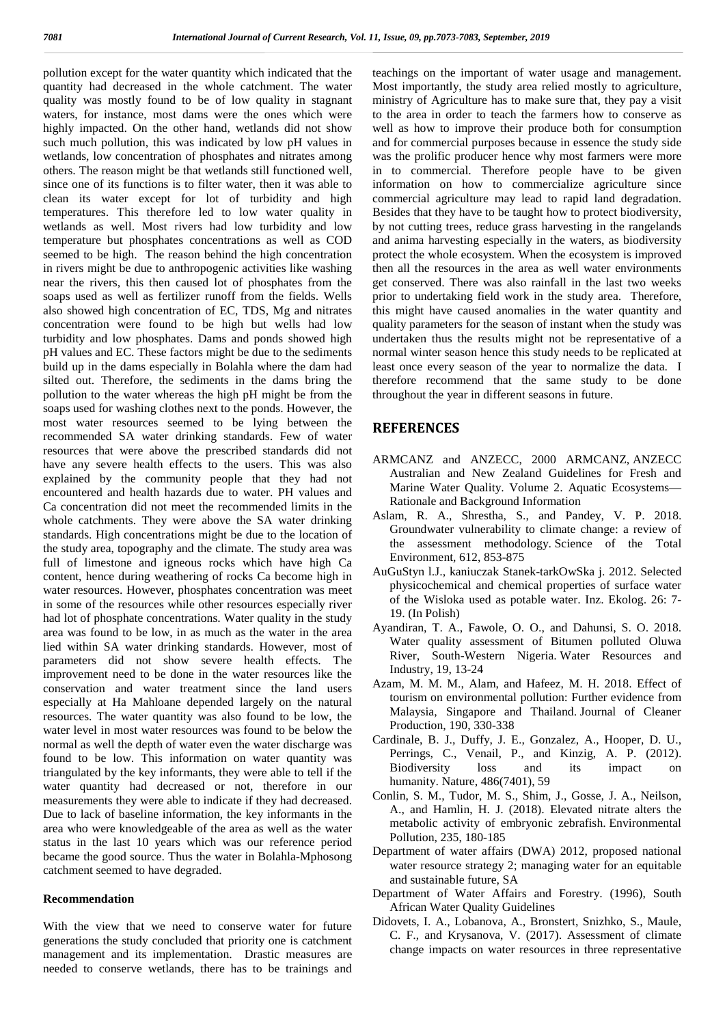pollution except for the water quantity which indicated that the quantity had decreased in the whole catchment. The water quality was mostly found to be of low quality in stagnant waters, for instance, most dams were the ones which were highly impacted. On the other hand, wetlands did not show such much pollution, this was indicated by low pH values in wetlands, low concentration of phosphates and nitrates among others. The reason might be that wetlands still functioned well, since one of its functions is to filter water, then it was able to clean its water except for lot of turbidity and high temperatures. This therefore led to low water quality in wetlands as well. Most rivers had low turbidity and low temperature but phosphates concentrations as well as COD seemed to be high. The reason behind the high concentration in rivers might be due to anthropogenic activities like washing near the rivers, this then caused lot of phosphates from the soaps used as well as fertilizer runoff from the fields. Wells also showed high concentration of EC, TDS, Mg and nitrates concentration were found to be high but wells had low turbidity and low phosphates. Dams and ponds showed high pH values and EC. These factors might be due to the sediments build up in the dams especially in Bolahla where the dam had silted out. Therefore, the sediments in the dams bring the pollution to the water whereas the high pH might be from the soaps used for washing clothes next to the ponds. However, the most water resources seemed to be lying between the recommended SA water drinking standards. Few of water resources that were above the prescribed standards did not have any severe health effects to the users. This was also explained by the community people that they had not encountered and health hazards due to water. PH values and Ca concentration did not meet the recommended limits in the whole catchments. They were above the SA water drinking standards. High concentrations might be due to the location of the study area, topography and the climate. The study area was full of limestone and igneous rocks which have high Ca content, hence during weathering of rocks Ca become high in water resources. However, phosphates concentration was meet in some of the resources while other resources especially river had lot of phosphate concentrations. Water quality in the study area was found to be low, in as much as the water in the area lied within SA water drinking standards. However, most of parameters did not show severe health effects. The improvement need to be done in the water resources like the conservation and water treatment since the land users especially at Ha Mahloane depended largely on the natural resources. The water quantity was also found to be low, the water level in most water resources was found to be below the normal as well the depth of water even the water discharge was found to be low. This information on water quantity was triangulated by the key informants, they were able to tell if the water quantity had decreased or not, therefore in our measurements they were able to indicate if they had decreased. Due to lack of baseline information, the key informants in the area who were knowledgeable of the area as well as the water status in the last 10 years which was our reference period became the good source. Thus the water in Bolahla-Mphosong catchment seemed to have degraded.

### **Recommendation**

With the view that we need to conserve water for future generations the study concluded that priority one is catchment management and its implementation. Drastic measures are needed to conserve wetlands, there has to be trainings and teachings on the important of water usage and management. Most importantly, the study area relied mostly to agriculture, ministry of Agriculture has to make sure that, they pay a visit to the area in order to teach the farmers how to conserve as well as how to improve their produce both for consumption and for commercial purposes because in essence the study side was the prolific producer hence why most farmers were more in to commercial. Therefore people have to be given information on how to commercialize agriculture since commercial agriculture may lead to rapid land degradation. Besides that they have to be taught how to protect biodiversity, by not cutting trees, reduce grass harvesting in the rangelands and anima harvesting especially in the waters, as biodiversity protect the whole ecosystem. When the ecosystem is improved then all the resources in the area as well water environments get conserved. There was also rainfall in the last two weeks prior to undertaking field work in the study area. Therefore, this might have caused anomalies in the water quantity and quality parameters for the season of instant when the study was undertaken thus the results might not be representative of a normal winter season hence this study needs to be replicated at least once every season of the year to normalize the data. I therefore recommend that the same study to be done throughout the year in different seasons in future.

#### **REFERENCES**

- ARMCANZ and ANZECC, 2000 ARMCANZ, ANZECC Australian and New Zealand Guidelines for Fresh and Marine Water Quality. Volume 2. Aquatic Ecosystems— Rationale and Background Information
- Aslam, R. A., Shrestha, S., and Pandey, V. P. 2018. Groundwater vulnerability to climate change: a review of the assessment methodology. Science of the Total Environment, 612, 853-875
- AuGuStyn l.J., kaniuczak Stanek-tarkOwSka j. 2012. Selected physicochemical and chemical properties of surface water of the Wisloka used as potable water. Inz. Ekolog. 26: 7- 19. (In Polish)
- Ayandiran, T. A., Fawole, O. O., and Dahunsi, S. O. 2018. Water quality assessment of Bitumen polluted Oluwa River, South-Western Nigeria. Water Resources and Industry, 19, 13-24
- Azam, M. M. M., Alam, and Hafeez, M. H. 2018. Effect of tourism on environmental pollution: Further evidence from Malaysia, Singapore and Thailand. Journal of Cleaner Production, 190, 330-338
- Cardinale, B. J., Duffy, J. E., Gonzalez, A., Hooper, D. U., Perrings, C., Venail, P., and Kinzig, A. P. (2012). Biodiversity loss and its impact on humanity. Nature, 486(7401), 59
- Conlin, S. M., Tudor, M. S., Shim, J., Gosse, J. A., Neilson, A., and Hamlin, H. J. (2018). Elevated nitrate alters the metabolic activity of embryonic zebrafish. Environmental Pollution, 235, 180-185
- Department of water affairs (DWA) 2012, proposed national water resource strategy 2; managing water for an equitable and sustainable future, SA
- Department of Water Affairs and Forestry. (1996), South African Water Quality Guidelines
- Didovets, I. A., Lobanova, A., Bronstert, Snizhko, S., Maule, C. F., and Krysanova, V. (2017). Assessment of climate change impacts on water resources in three representative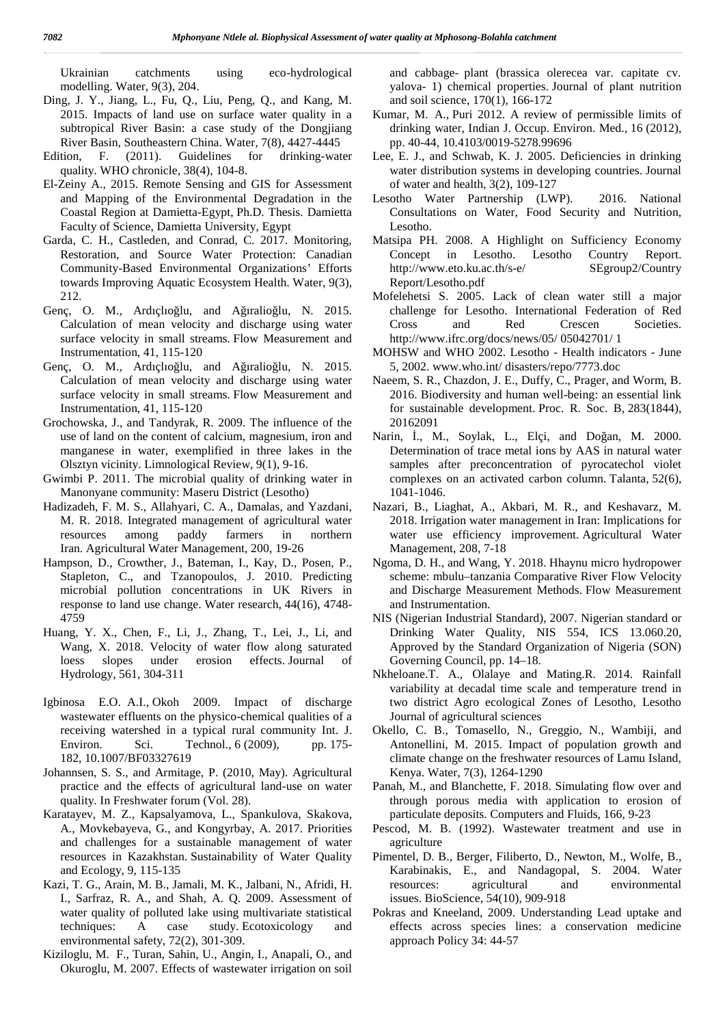Ukrainian catchments using eco-hydrological modelling. Water, 9(3), 204.

- Ding, J. Y., Jiang, L., Fu, Q., Liu, Peng, Q., and Kang, M. 2015. Impacts of land use on surface water quality in a subtropical River Basin: a case study of the Dongjiang River Basin, Southeastern China. Water, 7(8), 4427-4445
- Edition, F. (2011). Guidelines for drinking-water quality. WHO chronicle, 38(4), 104-8.
- El-Zeiny A., 2015. Remote Sensing and GIS for Assessment and Mapping of the Environmental Degradation in the Coastal Region at Damietta-Egypt, Ph.D. Thesis. Damietta Faculty of Science, Damietta University, Egypt
- Garda, C. H., Castleden, and Conrad, C. 2017. Monitoring, Restoration, and Source Water Protection: Canadian Community-Based Environmental Organizations' Efforts towards Improving Aquatic Ecosystem Health. Water, 9(3), 212.
- Genç, O. M., Ardıçlıolu, and A iraliolu, N. 2015. Calculation of mean velocity and discharge using water surface velocity in small streams. Flow Measurement and Instrumentation, 41, 115-120
- Genç, O. M., Ardıçlıolu, and A iraliolu, N. 2015. Calculation of mean velocity and discharge using water surface velocity in small streams. Flow Measurement and Instrumentation, 41, 115-120
- Grochowska, J., and Tandyrak, R. 2009. The influence of the use of land on the content of calcium, magnesium, iron and manganese in water, exemplified in three lakes in the Olsztyn vicinity. Limnological Review, 9(1), 9-16.
- Gwimbi P. 2011. The microbial quality of drinking water in Manonyane community: Maseru District (Lesotho)
- Hadizadeh, F. M. S., Allahyari, C. A., Damalas, and Yazdani, M. R. 2018. Integrated management of agricultural water resources among paddy farmers in northern Iran. Agricultural Water Management, 200, 19-26
- Hampson, D., Crowther, J., Bateman, I., Kay, D., Posen, P., Stapleton, C., and Tzanopoulos, J. 2010. Predicting microbial pollution concentrations in UK Rivers in response to land use change. Water research, 44(16), 4748- 4759
- Huang, Y. X., Chen, F., Li, J., Zhang, T., Lei, J., Li, and Wang, X. 2018. Velocity of water flow along saturated loess slopes under erosion effects. Journal of Hydrology, 561, 304-311
- Igbinosa E.O. A.I., Okoh 2009. Impact of discharge wastewater effluents on the physico-chemical qualities of a receiving watershed in a typical rural community Int. J. Environ. Sci. Technol., 6 (2009), pp. 175-182, 10.1007/BF03327619
- Johannsen, S. S., and Armitage, P. (2010, May). Agricultural practice and the effects of agricultural land-use on water quality. In Freshwater forum (Vol. 28).
- Karatayev, M. Z., Kapsalyamova, L., Spankulova, Skakova, A., Movkebayeva, G., and Kongyrbay, A. 2017. Priorities and challenges for a sustainable management of water resources in Kazakhstan. Sustainability of Water Quality and Ecology, 9, 115-135
- Kazi, T. G., Arain, M. B., Jamali, M. K., Jalbani, N., Afridi, H. I., Sarfraz, R. A., and Shah, A. Q. 2009. Assessment of water quality of polluted lake using multivariate statistical techniques: A case study. Ecotoxicology and environmental safety, 72(2), 301-309.
- Kiziloglu, M. F., Turan, Sahin, U., Angin, I., Anapali, O., and Okuroglu, M. 2007. Effects of wastewater irrigation on soil

and cabbage‐plant (brassica olerecea var. capitate cv. yalova‐1) chemical properties. Journal of plant nutrition and soil science, 170(1), 166-172

- Kumar, M. A., Puri 2012. A review of permissible limits of drinking water, Indian J. Occup. Environ. Med., 16 (2012), pp. 40-44, 10.4103/0019-5278.99696
- Lee, E. J., and Schwab, K. J. 2005. Deficiencies in drinking water distribution systems in developing countries. Journal of water and health, 3(2), 109-127
- Lesotho Water Partnership (LWP). 2016. National Consultations on Water, Food Security and Nutrition, Lesotho.
- Matsipa PH. 2008. A Highlight on Sufficiency Economy in Lesotho. Lesotho Country Report. http://www.eto.ku.ac.th/s-e/ SEgroup2/Country Report/Lesotho.pdf
- Mofelehetsi S. 2005. Lack of clean water still a major challenge for Lesotho. International Federation of Red Cross and Red Crescen Societies. http://www.ifrc.org/docs/news/05/ 05042701/ 1
- MOHSW and WHO 2002. Lesotho Health indicators June 5, 2002. www.who.int/ disasters/repo/7773.doc
- Naeem, S. R., Chazdon, J. E., Duffy, C., Prager, and Worm, B. 2016. Biodiversity and human well-being: an essential link for sustainable development. Proc. R. Soc. B, 283(1844), 20162091
- Narin, ., M., Soylak, L., Elçi, and Do an, M. 2000. Determination of trace metal ions by AAS in natural water samples after preconcentration of pyrocatechol violet complexes on an activated carbon column. Talanta, 52(6), 1041-1046.
- Nazari, B., Liaghat, A., Akbari, M. R., and Keshavarz, M. 2018. Irrigation water management in Iran: Implications for water use efficiency improvement. Agricultural Water Management, 208, 7-18
- Ngoma, D. H., and Wang, Y. 2018. Hhaynu micro hydropower scheme: mbulu–tanzania Comparative River Flow Velocity and Discharge Measurement Methods. Flow Measurement and Instrumentation.
- NIS (Nigerian Industrial Standard), 2007. Nigerian standard or Drinking Water Quality, NIS 554, ICS 13.060.20, Approved by the Standard Organization of Nigeria (SON) Governing Council, pp. 14–18.
- Nkheloane.T. A., Olalaye and Mating.R. 2014. Rainfall variability at decadal time scale and temperature trend in two district Agro ecological Zones of Lesotho, Lesotho Journal of agricultural sciences
- Okello, C. B., Tomasello, N., Greggio, N., Wambiji, and Antonellini, M. 2015. Impact of population growth and climate change on the freshwater resources of Lamu Island, Kenya. Water, 7(3), 1264-1290
- Panah, M., and Blanchette, F. 2018. Simulating flow over and through porous media with application to erosion of particulate deposits. Computers and Fluids, 166, 9-23
- Pescod, M. B. (1992). Wastewater treatment and use in agriculture
- Pimentel, D. B., Berger, Filiberto, D., Newton, M., Wolfe, B., Karabinakis, E., and Nandagopal, S. 2004. Water resources: agricultural and environmental issues. BioScience, 54(10), 909-918
- Pokras and Kneeland, 2009. Understanding Lead uptake and effects across species lines: a conservation medicine approach Policy 34: 44-57